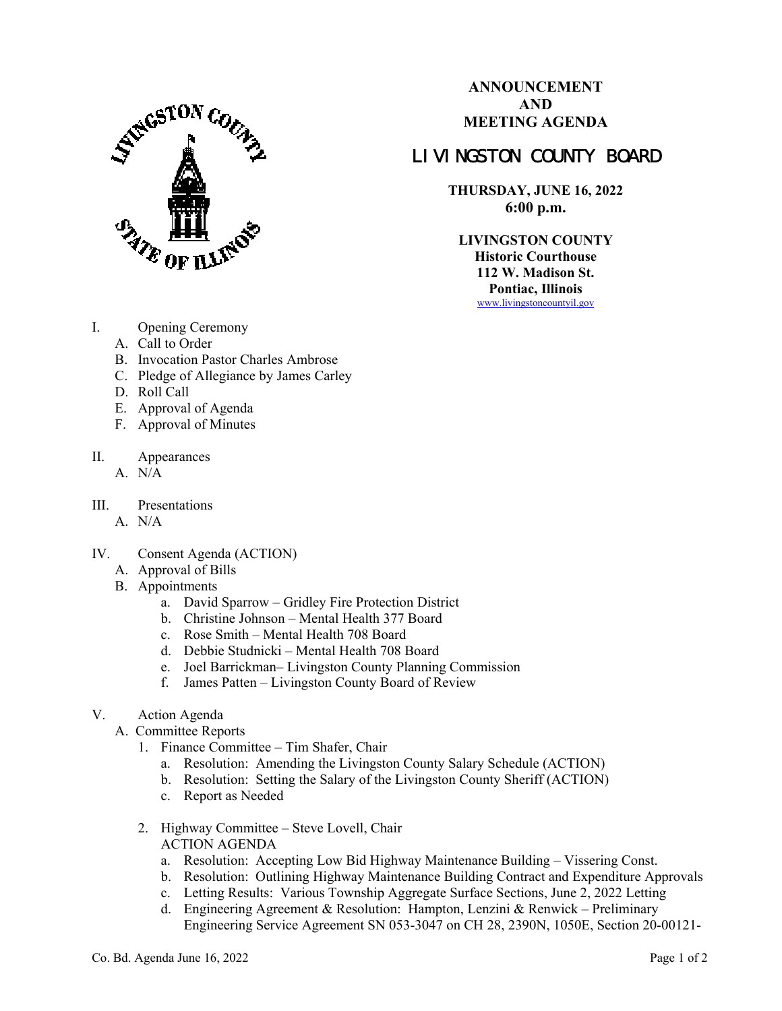

**ANNOUNCEMENT AND MEETING AGENDA** 

## LIVINGSTON COUNTY BOARD

**THURSDAY, JUNE 16, 2022 6:00 p.m.** 

**LIVINGSTON COUNTY Historic Courthouse 112 W. Madison St. Pontiac, Illinois**  www.livingstoncountyil.gov

- I. Opening Ceremony
	- A. Call to Order
	- B. Invocation Pastor Charles Ambrose
	- C. Pledge of Allegiance by James Carley
	- D. Roll Call
	- E. Approval of Agenda
	- F. Approval of Minutes
- II. Appearances
	- $A. N/A$
- III. Presentations
	- A. N/A
- IV. Consent Agenda (ACTION)
	- A. Approval of Bills
	- B. Appointments
		- a. David Sparrow Gridley Fire Protection District
		- b. Christine Johnson Mental Health 377 Board
		- c. Rose Smith Mental Health 708 Board
		- d. Debbie Studnicki Mental Health 708 Board
		- e. Joel Barrickman– Livingston County Planning Commission
		- f. James Patten Livingston County Board of Review
- V. Action Agenda
	- A. Committee Reports
		- 1. Finance Committee Tim Shafer, Chair
			- a. Resolution: Amending the Livingston County Salary Schedule (ACTION)
			- b. Resolution: Setting the Salary of the Livingston County Sheriff (ACTION)
			- c. Report as Needed
		- 2. Highway Committee Steve Lovell, Chair ACTION AGENDA
			- a. Resolution: Accepting Low Bid Highway Maintenance Building Vissering Const.
			- b. Resolution: Outlining Highway Maintenance Building Contract and Expenditure Approvals
			- c. Letting Results: Various Township Aggregate Surface Sections, June 2, 2022 Letting
			- d. Engineering Agreement & Resolution: Hampton, Lenzini & Renwick Preliminary Engineering Service Agreement SN 053-3047 on CH 28, 2390N, 1050E, Section 20-00121-